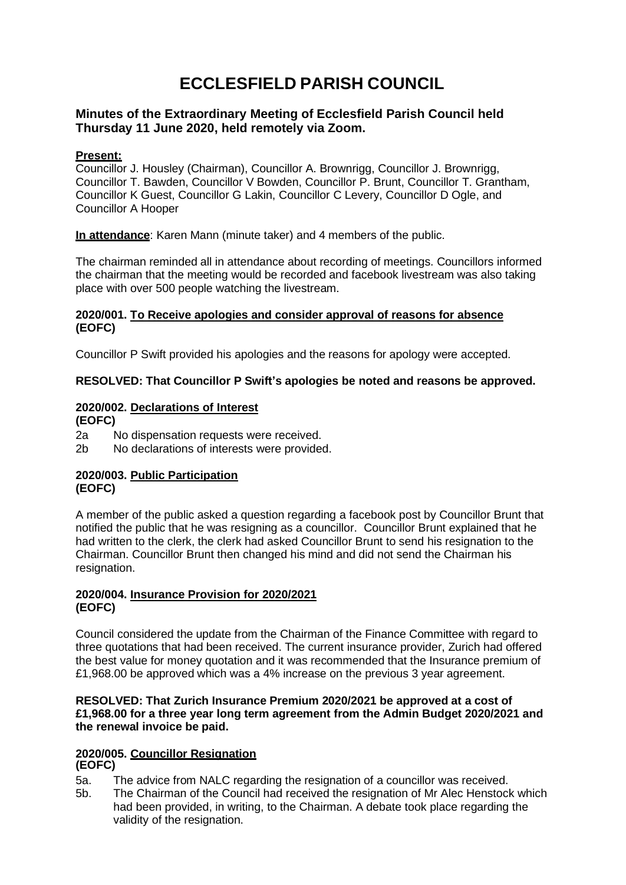# **ECCLESFIELD PARISH COUNCIL**

# **Minutes of the Extraordinary Meeting of Ecclesfield Parish Council held Thursday 11 June 2020, held remotely via Zoom.**

## **Present:**

Councillor J. Housley (Chairman), Councillor A. Brownrigg, Councillor J. Brownrigg, Councillor T. Bawden, Councillor V Bowden, Councillor P. Brunt, Councillor T. Grantham, Councillor K Guest, Councillor G Lakin, Councillor C Levery, Councillor D Ogle, and Councillor A Hooper

**In attendance**: Karen Mann (minute taker) and 4 members of the public.

The chairman reminded all in attendance about recording of meetings. Councillors informed the chairman that the meeting would be recorded and facebook livestream was also taking place with over 500 people watching the livestream.

### **2020/001. To Receive apologies and consider approval of reasons for absence (EOFC)**

Councillor P Swift provided his apologies and the reasons for apology were accepted.

# **RESOLVED: That Councillor P Swift's apologies be noted and reasons be approved.**

# **2020/002. Declarations of Interest**

**(EOFC)**

2a No dispensation requests were received.

2b No declarations of interests were provided.

## **2020/003. Public Participation (EOFC)**

A member of the public asked a question regarding a facebook post by Councillor Brunt that notified the public that he was resigning as a councillor. Councillor Brunt explained that he had written to the clerk, the clerk had asked Councillor Brunt to send his resignation to the Chairman. Councillor Brunt then changed his mind and did not send the Chairman his resignation.

## **2020/004. Insurance Provision for 2020/2021 (EOFC)**

Council considered the update from the Chairman of the Finance Committee with regard to three quotations that had been received. The current insurance provider, Zurich had offered the best value for money quotation and it was recommended that the Insurance premium of £1,968.00 be approved which was a 4% increase on the previous 3 year agreement.

### **RESOLVED: That Zurich Insurance Premium 2020/2021 be approved at a cost of £1,968.00 for a three year long term agreement from the Admin Budget 2020/2021 and the renewal invoice be paid.**

#### **2020/005. Councillor Resignation (EOFC)**

- 5a. The advice from NALC regarding the resignation of a councillor was received.
- 5b. The Chairman of the Council had received the resignation of Mr Alec Henstock which had been provided, in writing, to the Chairman. A debate took place regarding the validity of the resignation.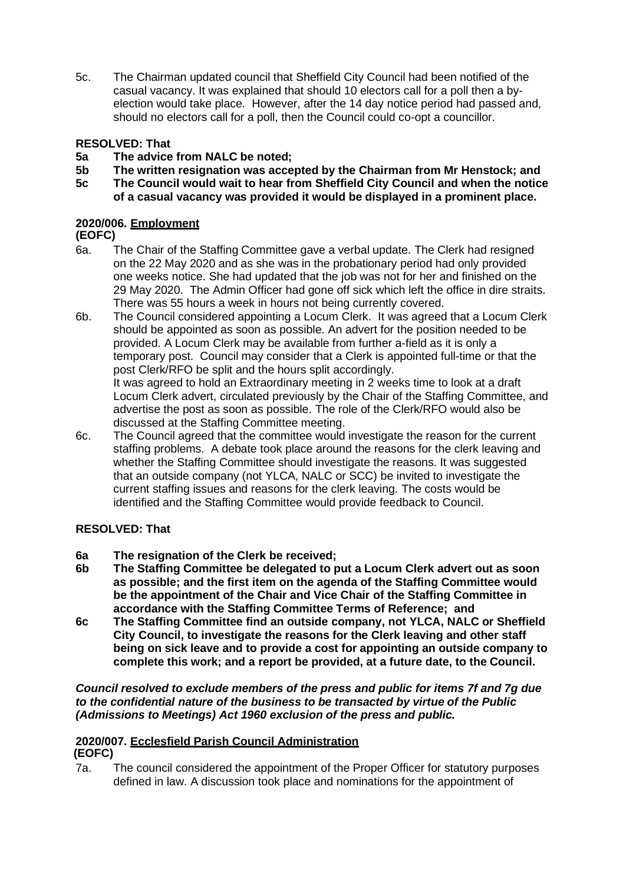5c. The Chairman updated council that Sheffield City Council had been notified of the casual vacancy. It was explained that should 10 electors call for a poll then a byelection would take place. However, after the 14 day notice period had passed and, should no electors call for a poll, then the Council could co-opt a councillor.

# **RESOLVED: That**

- **5a The advice from NALC be noted;**
- **5b The written resignation was accepted by the Chairman from Mr Henstock; and**
- **5c The Council would wait to hear from Sheffield City Council and when the notice of a casual vacancy was provided it would be displayed in a prominent place.**

# **2020/006. Employment**

## **(EOFC)**

- 6a. The Chair of the Staffing Committee gave a verbal update. The Clerk had resigned on the 22 May 2020 and as she was in the probationary period had only provided one weeks notice. She had updated that the job was not for her and finished on the 29 May 2020. The Admin Officer had gone off sick which left the office in dire straits. There was 55 hours a week in hours not being currently covered.
- 6b. The Council considered appointing a Locum Clerk. It was agreed that a Locum Clerk should be appointed as soon as possible. An advert for the position needed to be provided. A Locum Clerk may be available from further a-field as it is only a temporary post. Council may consider that a Clerk is appointed full-time or that the post Clerk/RFO be split and the hours split accordingly. It was agreed to hold an Extraordinary meeting in 2 weeks time to look at a draft Locum Clerk advert, circulated previously by the Chair of the Staffing Committee, and advertise the post as soon as possible. The role of the Clerk/RFO would also be discussed at the Staffing Committee meeting.
- 6c. The Council agreed that the committee would investigate the reason for the current staffing problems. A debate took place around the reasons for the clerk leaving and whether the Staffing Committee should investigate the reasons. It was suggested that an outside company (not YLCA, NALC or SCC) be invited to investigate the current staffing issues and reasons for the clerk leaving. The costs would be identified and the Staffing Committee would provide feedback to Council.

# **RESOLVED: That**

- **6a The resignation of the Clerk be received;**
- **6b The Staffing Committee be delegated to put a Locum Clerk advert out as soon as possible; and the first item on the agenda of the Staffing Committee would be the appointment of the Chair and Vice Chair of the Staffing Committee in accordance with the Staffing Committee Terms of Reference; and**
- **6c The Staffing Committee find an outside company, not YLCA, NALC or Sheffield City Council, to investigate the reasons for the Clerk leaving and other staff being on sick leave and to provide a cost for appointing an outside company to complete this work; and a report be provided, at a future date, to the Council.**

*Council resolved to exclude members of the press and public for items 7f and 7g due to the confidential nature of the business to be transacted by virtue of the Public (Admissions to Meetings) Act 1960 exclusion of the press and public.*

#### **2020/007. Ecclesfield Parish Council Administration (EOFC)**

7a. The council considered the appointment of the Proper Officer for statutory purposes defined in law. A discussion took place and nominations for the appointment of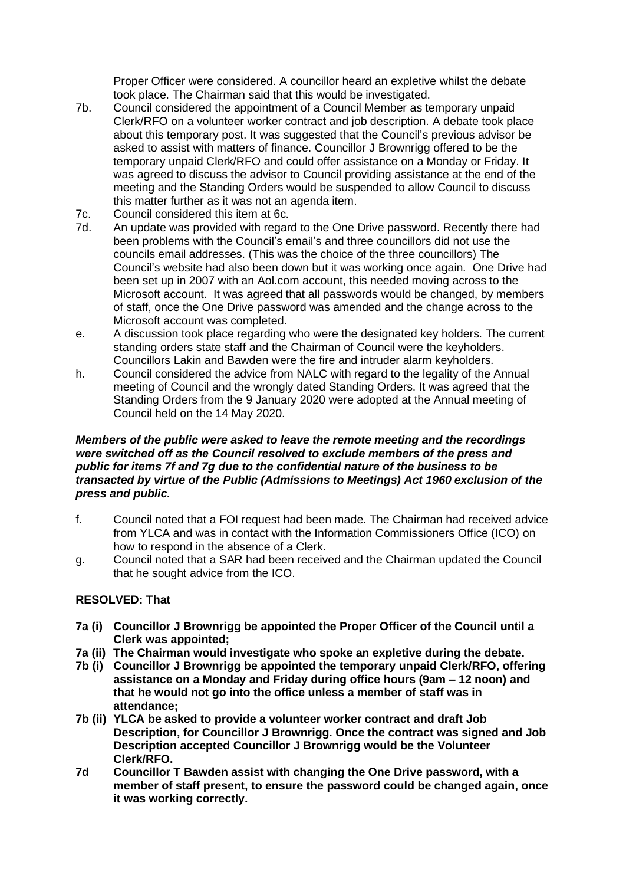Proper Officer were considered. A councillor heard an expletive whilst the debate took place. The Chairman said that this would be investigated.

- 7b. Council considered the appointment of a Council Member as temporary unpaid Clerk/RFO on a volunteer worker contract and job description. A debate took place about this temporary post. It was suggested that the Council's previous advisor be asked to assist with matters of finance. Councillor J Brownrigg offered to be the temporary unpaid Clerk/RFO and could offer assistance on a Monday or Friday. It was agreed to discuss the advisor to Council providing assistance at the end of the meeting and the Standing Orders would be suspended to allow Council to discuss this matter further as it was not an agenda item.
- 7c. Council considered this item at 6c.
- 7d. An update was provided with regard to the One Drive password. Recently there had been problems with the Council's email's and three councillors did not use the councils email addresses. (This was the choice of the three councillors) The Council's website had also been down but it was working once again. One Drive had been set up in 2007 with an Aol.com account, this needed moving across to the Microsoft account. It was agreed that all passwords would be changed, by members of staff, once the One Drive password was amended and the change across to the Microsoft account was completed.
- e. A discussion took place regarding who were the designated key holders. The current standing orders state staff and the Chairman of Council were the keyholders. Councillors Lakin and Bawden were the fire and intruder alarm keyholders.
- h. Council considered the advice from NALC with regard to the legality of the Annual meeting of Council and the wrongly dated Standing Orders. It was agreed that the Standing Orders from the 9 January 2020 were adopted at the Annual meeting of Council held on the 14 May 2020.

### *Members of the public were asked to leave the remote meeting and the recordings were switched off as the Council resolved to exclude members of the press and public for items 7f and 7g due to the confidential nature of the business to be transacted by virtue of the Public (Admissions to Meetings) Act 1960 exclusion of the press and public.*

- f. Council noted that a FOI request had been made. The Chairman had received advice from YLCA and was in contact with the Information Commissioners Office (ICO) on how to respond in the absence of a Clerk.
- g. Council noted that a SAR had been received and the Chairman updated the Council that he sought advice from the ICO.

# **RESOLVED: That**

- **7a (i) Councillor J Brownrigg be appointed the Proper Officer of the Council until a Clerk was appointed;**
- **7a (ii) The Chairman would investigate who spoke an expletive during the debate.**
- **7b (i) Councillor J Brownrigg be appointed the temporary unpaid Clerk/RFO, offering assistance on a Monday and Friday during office hours (9am – 12 noon) and that he would not go into the office unless a member of staff was in attendance;**
- **7b (ii) YLCA be asked to provide a volunteer worker contract and draft Job Description, for Councillor J Brownrigg. Once the contract was signed and Job Description accepted Councillor J Brownrigg would be the Volunteer Clerk/RFO.**
- **7d Councillor T Bawden assist with changing the One Drive password, with a member of staff present, to ensure the password could be changed again, once it was working correctly.**